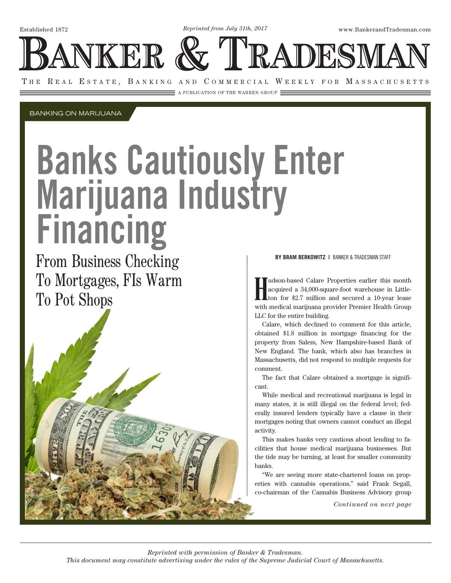*Reprinted from July 31th, 2017*

Established 1872 www.BankerandTradesman.com

**JKER** 

THE REAL ESTATE, BANKING AND COMMERCIAL WEEKLY FOR MASSACHUSETTS

 $\equiv$  a publication of the warren group  $\equiv$ 

BANKING ON MARIJUANA

# Banks Cautiously Enter Marijuana Industry Financing

From Business Checking To Mortgages, FIs Warm To Pot Shops



### **BY BRAM BERKOWITZ |** BANKER & TRADESMAN STAFF

NDESM

I udson-based Calare Properties earlier this month acquired a 34,000-square-foot warehouse in Little-ton for \$2.7 million and secured a 10-year lease with medical marijuana provider Premier Health Group udson-based Calare Properties earlier this month acquired a 34,000-square-foot warehouse in Littleton for \$2.7 million and secured a 10-year lease LLC for the entire building.

Calare, which declined to comment for this article, obtained \$1.8 million in mortgage financing for the property from Salem, New Hampshire-based Bank of New England. The bank, which also has branches in Massachusetts, did not respond to multiple requests for comment.

The fact that Calare obtained a mortgage is significant.

While medical and recreational marijuana is legal in many states, it is still illegal on the federal level; federally insured lenders typically have a clause in their mortgages noting that owners cannot conduct an illegal activity.

This makes banks very cautious about lending to facilities that house medical marijuana businesses. But the tide may be turning, at least for smaller community banks.

"We are seeing more state-chartered loans on properties with cannabis operations," said Frank Segall, co-chairman of the Cannabis Business Advisory group

*Continued on next page*